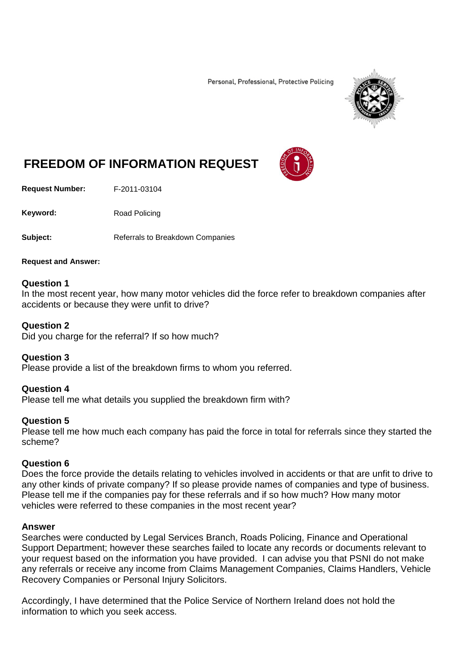Personal, Professional, Protective Policing



# **FREEDOM OF INFORMATION REQUEST**

**Request Number:** F-2011-03104

Keyword: Road Policing

**Subject:** Referrals to Breakdown Companies

#### **Request and Answer:**

## **Question 1**

In the most recent year, how many motor vehicles did the force refer to breakdown companies after accidents or because they were unfit to drive?

#### **Question 2**

Did you charge for the referral? If so how much?

#### **Question 3**

Please provide a list of the breakdown firms to whom you referred.

#### **Question 4**

Please tell me what details you supplied the breakdown firm with?

#### **Question 5**

Please tell me how much each company has paid the force in total for referrals since they started the scheme?

# **Question 6**

Does the force provide the details relating to vehicles involved in accidents or that are unfit to drive to any other kinds of private company? If so please provide names of companies and type of business. Please tell me if the companies pay for these referrals and if so how much? How many motor vehicles were referred to these companies in the most recent year?

## **Answer**

Searches were conducted by Legal Services Branch, Roads Policing, Finance and Operational Support Department; however these searches failed to locate any records or documents relevant to your request based on the information you have provided. I can advise you that PSNI do not make any referrals or receive any income from Claims Management Companies, Claims Handlers, Vehicle Recovery Companies or Personal Injury Solicitors.

Accordingly, I have determined that the Police Service of Northern Ireland does not hold the information to which you seek access.